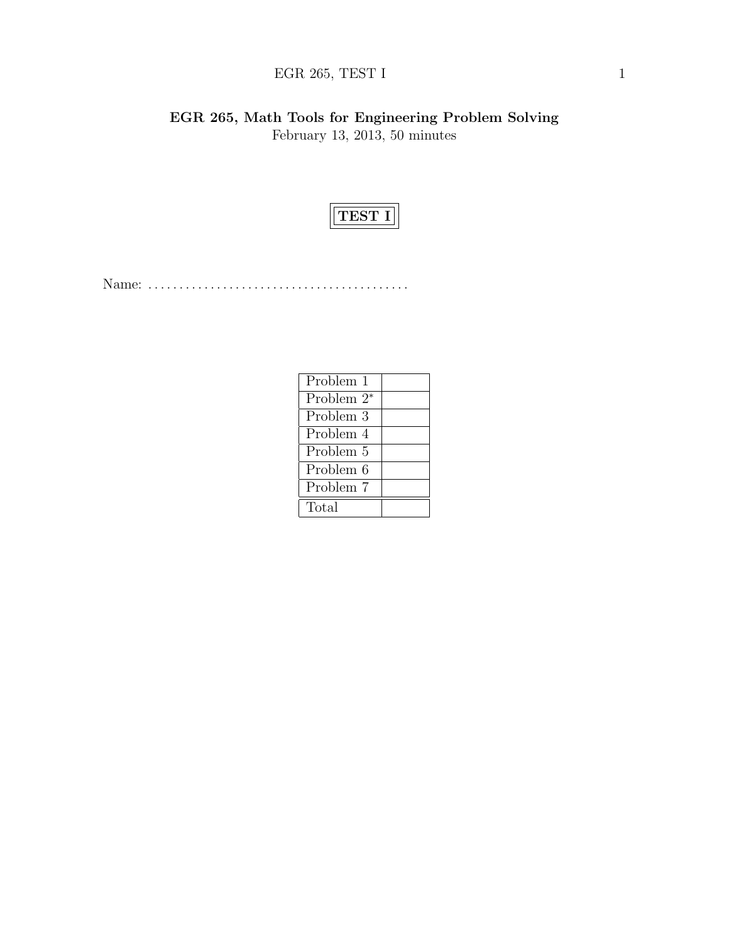# EGR 265, TEST I  $1$

EGR 265, Math Tools for Engineering Problem Solving February 13, 2013, 50 minutes



Name: . . . . . . . . . . . . . . . . . . . . . . . . . . . . . . . . . . . . . . . . . .

| Problem 1              |  |
|------------------------|--|
| Problem 2 <sup>*</sup> |  |
| Problem 3              |  |
| Problem 4              |  |
| Problem 5              |  |
| Problem 6              |  |
| Problem 7              |  |
| Total                  |  |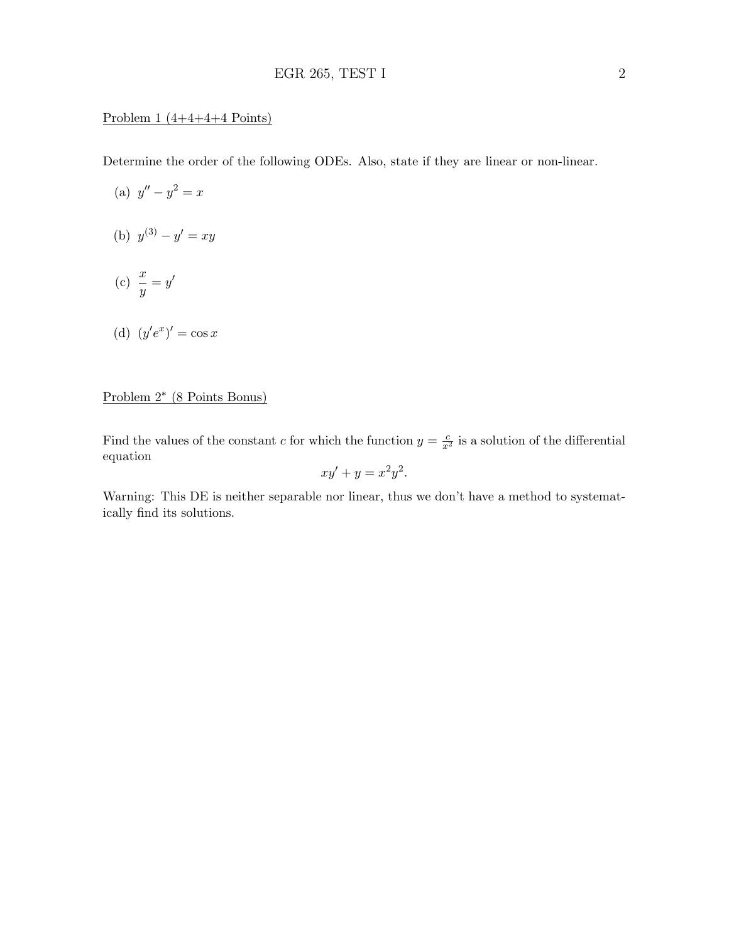### Problem  $1(4+4+4+4$  Points)

Determine the order of the following ODEs. Also, state if they are linear or non-linear.

- (a)  $y'' y^2 = x$ (b)  $y^{(3)} - y' = xy$
- (c)  $\frac{x}{y} = y'$

(d) 
$$
(y'e^x)' = \cos x
$$

## Problem 2<sup>∗</sup> (8 Points Bonus)

Find the values of the constant c for which the function  $y = \frac{c}{x^2}$  is a solution of the differential equation

$$
xy' + y = x^2y^2.
$$

Warning: This DE is neither separable nor linear, thus we don't have a method to systematically find its solutions.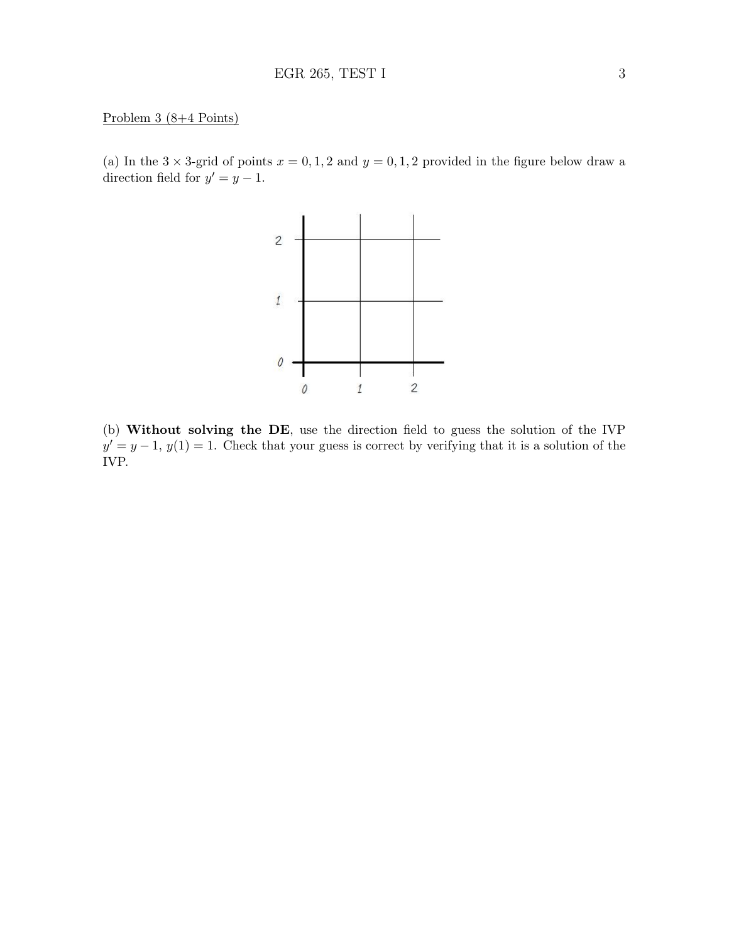#### Problem 3 (8+4 Points)

(a) In the  $3 \times 3$ -grid of points  $x = 0, 1, 2$  and  $y = 0, 1, 2$  provided in the figure below draw a direction field for  $y' = y - 1$ .



(b) Without solving the DE, use the direction field to guess the solution of the IVP  $y' = y - 1$ ,  $y(1) = 1$ . Check that your guess is correct by verifying that it is a solution of the IVP.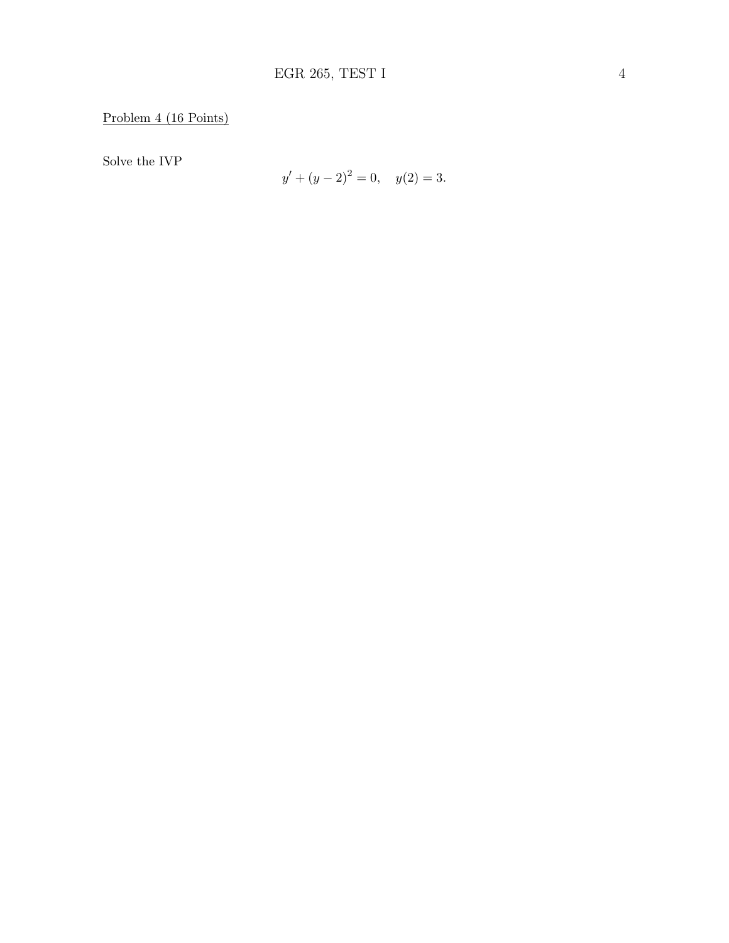Solve the IVP

$$
y' + (y - 2)^2 = 0, \quad y(2) = 3.
$$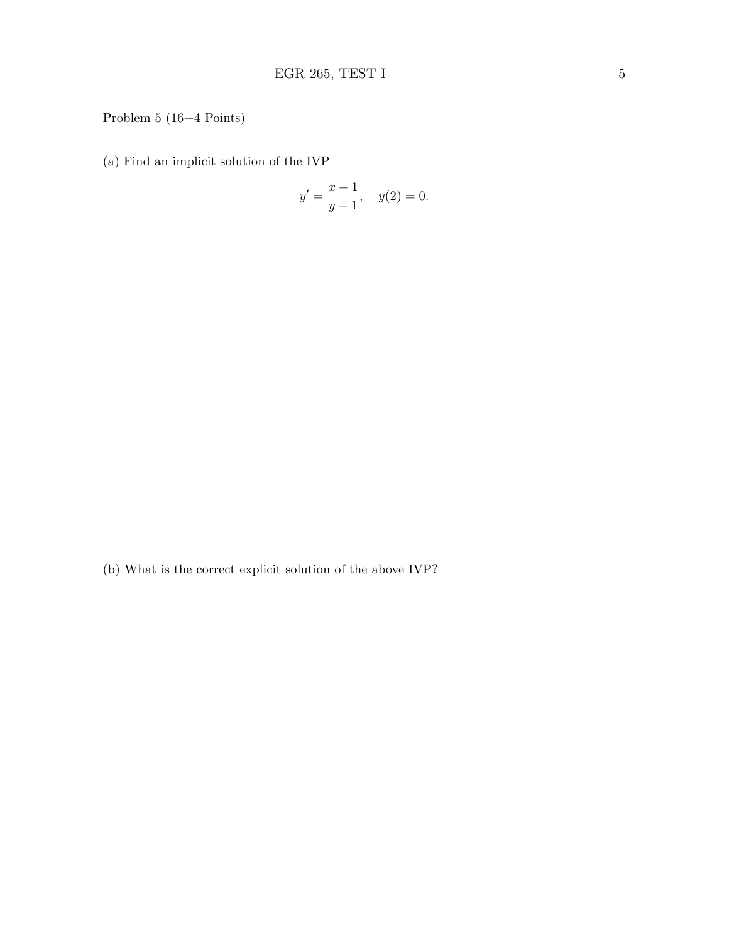# Problem 5 (16+4 Points)

(a) Find an implicit solution of the IVP

$$
y' = \frac{x-1}{y-1}
$$
,  $y(2) = 0$ .

(b) What is the correct explicit solution of the above IVP?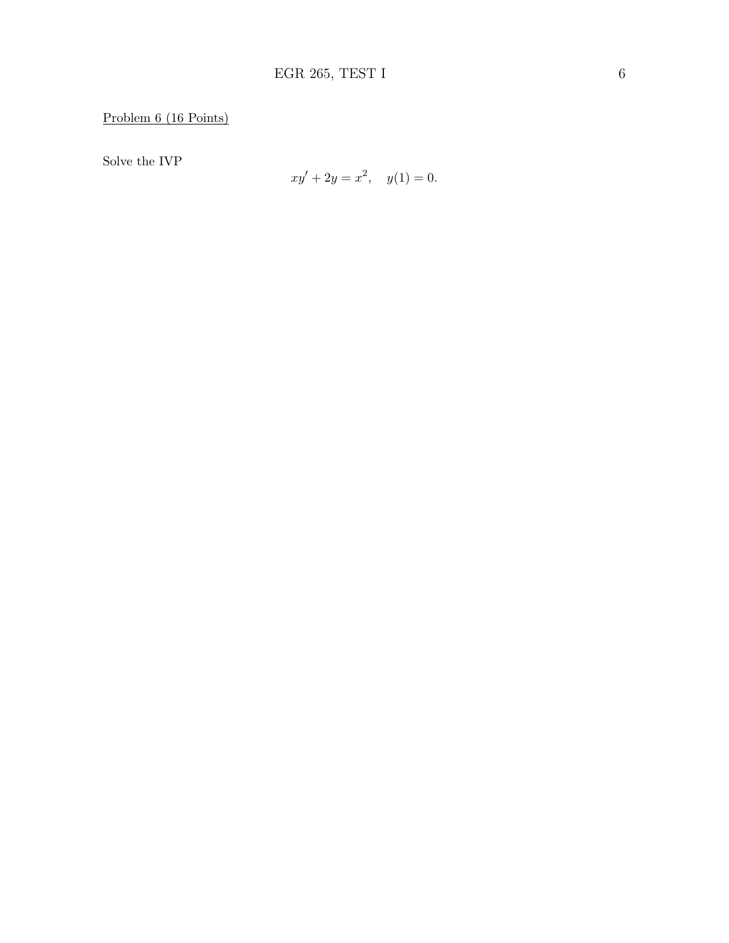Solve the IVP

$$
xy' + 2y = x^2, \quad y(1) = 0.
$$